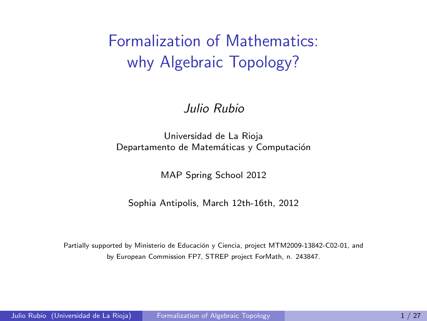## Formalization of Mathematics: why Algebraic Topology?

#### Julio Rubio

#### Universidad de La Rioja Departamento de Matemáticas y Computación

<span id="page-0-0"></span>MAP Spring School 2012

Sophia Antipolis, March 12th-16th, 2012

Partially supported by Ministerio de Educación y Ciencia, project MTM2009-13842-C02-01, and by European Commission FP7, STREP project ForMath, n. 243847.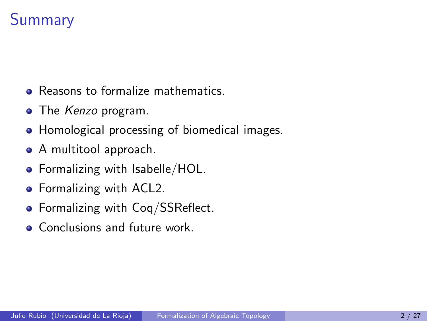## **Summary**

- **Reasons to formalize mathematics**
- The Kenzo program.
- Homological processing of biomedical images.
- A multitool approach.
- Formalizing with Isabelle/HOL.
- Formalizing with ACL2.
- Formalizing with Coq/SSReflect.
- **Conclusions and future work.**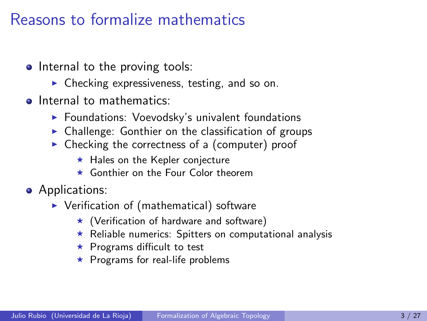### Reasons to formalize mathematics

- Internal to the proving tools:
	- $\triangleright$  Checking expressiveness, testing, and so on.
- o Internal to mathematics:
	- $\blacktriangleright$  Foundations: Voevodsky's univalent foundations
	- $\triangleright$  Challenge: Gonthier on the classification of groups
	- $\triangleright$  Checking the correctness of a (computer) proof
		- $\star$  Hales on the Kepler conjecture
		- \* Gonthier on the Four Color theorem
- Applications:
	- $\blacktriangleright$  Verification of (mathematical) software
		- $\star$  (Verification of hardware and software)
		- $\star$  Reliable numerics: Spitters on computational analysis
		- $\star$  Programs difficult to test
		- $\star$  Programs for real-life problems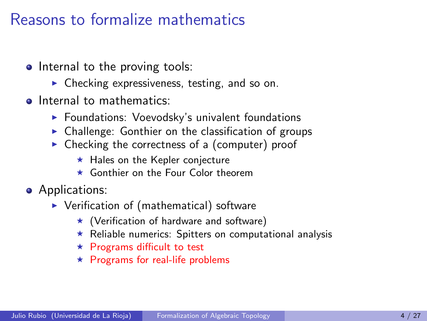### Reasons to formalize mathematics

- Internal to the proving tools:
	- $\triangleright$  Checking expressiveness, testing, and so on.
- o Internal to mathematics:
	- $\blacktriangleright$  Foundations: Voevodsky's univalent foundations
	- $\triangleright$  Challenge: Gonthier on the classification of groups
	- $\triangleright$  Checking the correctness of a (computer) proof
		- $\star$  Hales on the Kepler conjecture
		- \* Gonthier on the Four Color theorem
- Applications:
	- $\blacktriangleright$  Verification of (mathematical) software
		- $\star$  (Verification of hardware and software)
		- $\star$  Reliable numerics: Spitters on computational analysis
		- $\star$  Programs difficult to test
		- $\star$  Programs for real-life problems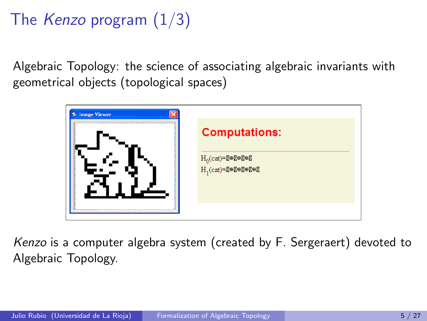# The Kenzo program  $(1/3)$

Algebraic Topology: the science of associating algebraic invariants with geometrical objects (topological spaces)



Kenzo is a computer algebra system (created by F. Sergeraert) devoted to Algebraic Topology.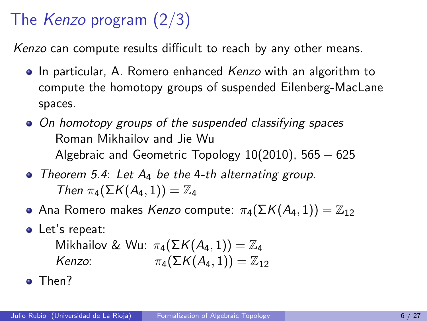## The Kenzo program (2/3)

Kenzo can compute results difficult to reach by any other means.

- In particular, A. Romero enhanced Kenzo with an algorithm to compute the homotopy groups of suspended Eilenberg-MacLane spaces.
- On homotopy groups of the suspended classifying spaces Roman Mikhailov and Jie Wu Algebraic and Geometric Topology  $10(2010)$ , 565  $-625$
- Theorem 5.4: Let  $A_4$  be the 4-th alternating group. Then  $\pi_4(\Sigma K(A_4,1))=\mathbb{Z}_4$
- **•** Ana Romero makes Kenzo compute:  $\pi_4(\Sigma K(A_4, 1)) = \mathbb{Z}_{12}$
- Let's repeat:

Mikhailov & Wu:  $\pi_4(\Sigma K(A_4, 1)) = \mathbb{Z}_4$ Kenzo:  $\pi_4(\Sigma K(A_4, 1)) = \mathbb{Z}_{12}$ 

**o** Then?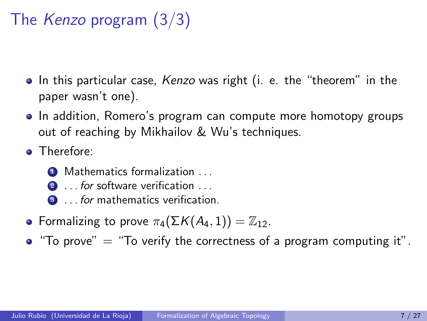## The Kenzo program (3/3)

- In this particular case, Kenzo was right (i. e. the "theorem" in the paper wasn't one).
- In addition, Romero's program can compute more homotopy groups out of reaching by Mikhailov & Wu's techniques.
- Therefore:
	- $\bullet$  Mathematics formalization  $\dots$
	- 2 ... for software verification ...
	- **3** ... for mathematics verification.
- **•** Formalizing to prove  $\pi_4(\Sigma K(A_4, 1)) = \mathbb{Z}_{12}$ .
- $\bullet$  "To prove"  $=$  "To verify the correctness of a program computing it".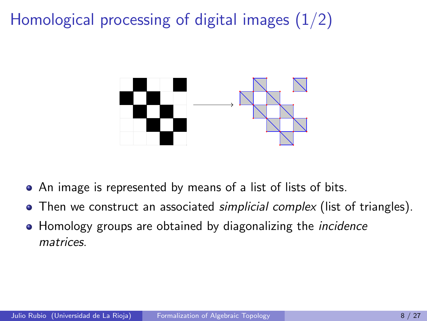Homological processing of digital images  $(1/2)$ 



- An image is represented by means of a list of lists of bits.
- $\bullet$  Then we construct an associated *simplicial complex* (list of triangles).
- Homology groups are obtained by diagonalizing the *incidence* matrices.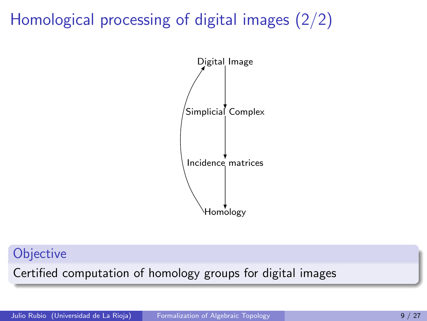## Homological processing of digital images (2/2)



#### **Objective**

Certified computation of homology groups for digital images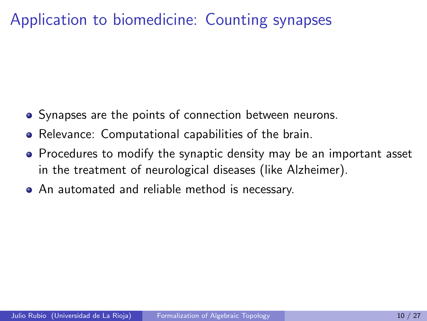- Synapses are the points of connection between neurons.
- Relevance: Computational capabilities of the brain.
- Procedures to modify the synaptic density may be an important asset in the treatment of neurological diseases (like Alzheimer).
- An automated and reliable method is necessary.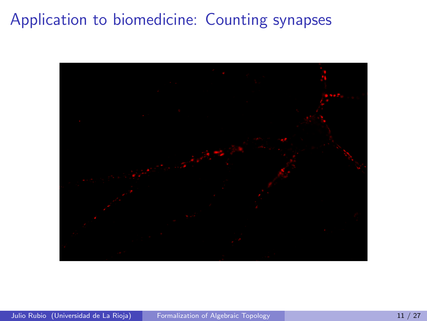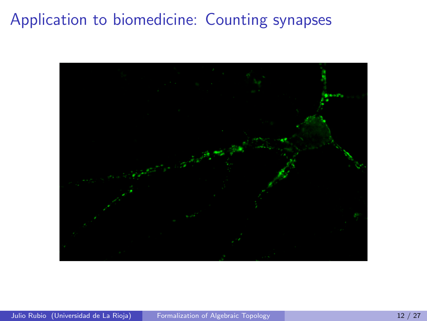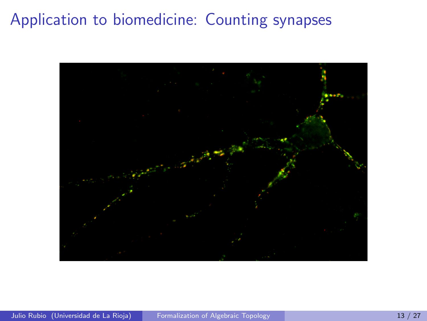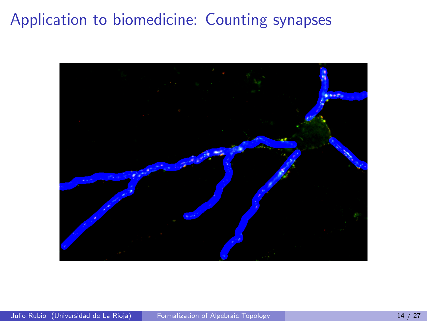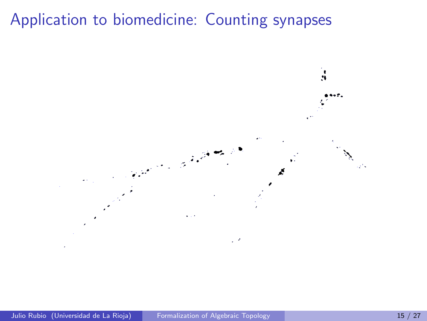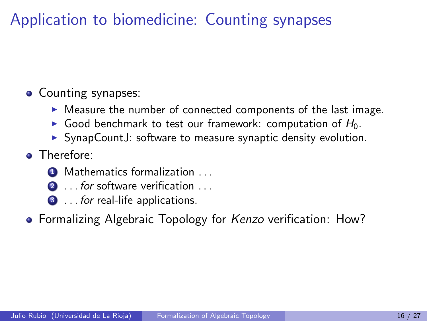#### • Counting synapses:

- $\triangleright$  Measure the number of connected components of the last image.
- Good benchmark to test our framework: computation of  $H_0$ .
- $\triangleright$  SynapCountJ: software to measure synaptic density evolution.
- **o** Therefore:
	- **4** Mathematics formalization . . .
	- 2 ... for software verification ...
	- **3** . . for real-life applications.
- Formalizing Algebraic Topology for Kenzo verification: How?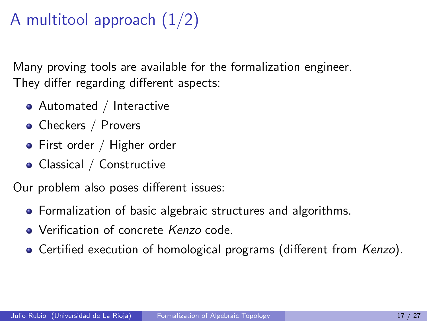## A multitool approach  $(1/2)$

Many proving tools are available for the formalization engineer. They differ regarding different aspects:

- Automated / Interactive
- Checkers / Provers
- First order / Higher order
- Classical / Constructive

Our problem also poses different issues:

- Formalization of basic algebraic structures and algorithms.
- Verification of concrete Kenzo code.
- **Certified execution of homological programs (different from Kenzo).**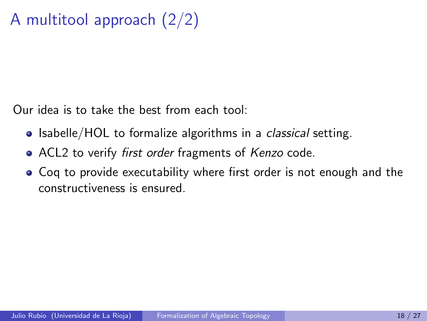## A multitool approach (2/2)

Our idea is to take the best from each tool:

- Isabelle/HOL to formalize algorithms in a *classical* setting.
- ACL2 to verify first order fragments of Kenzo code.
- Coq to provide executability where first order is not enough and the constructiveness is ensured.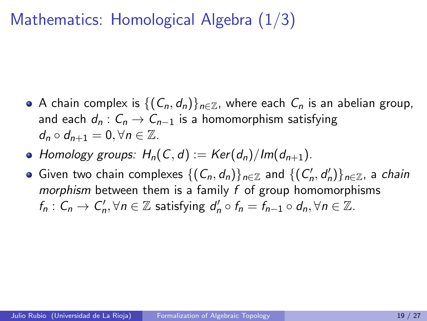### Mathematics: Homological Algebra (1/3)

- A chain complex is  $\{(C_n, d_n)\}_{n\in\mathbb{Z}}$ , where each  $C_n$  is an abelian group, and each  $d_n$  :  $C_n \rightarrow C_{n-1}$  is a homomorphism satisfying  $d_n \circ d_{n+1} = 0, \forall n \in \mathbb{Z}$ .
- Homology groups:  $H_n(C, d) := \text{Ker}(d_n)/\text{Im}(d_{n+1}).$
- Given two chain complexes  $\{(C_n,d_n)\}_{n\in\mathbb{Z}}$  and  $\{(C'_n,d'_n)\}_{n\in\mathbb{Z}}$ , a *chain* morphism between them is a family  $f$  of group homomorphisms  $f_n: C_n \to C'_n, \forall n \in \mathbb{Z}$  satisfying  $d'_n \circ f_n = f_{n-1} \circ d_n, \forall n \in \mathbb{Z}$ .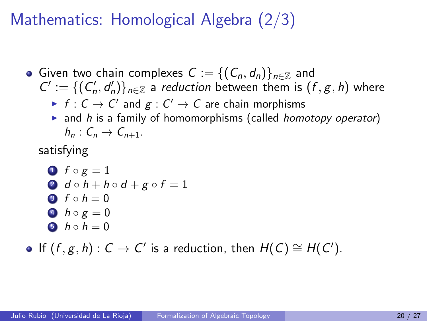### Mathematics: Homological Algebra (2/3)

- Given two chain complexes  $C := \{(C_n, d_n)\}_{n \in \mathbb{Z}}$  and  $C' := \{ (C'_n, d'_n) \}_{n \in \mathbb{Z}}$  a reduction between them is  $(f, g, h)$  where
	- $\blacktriangleright$   $f: \mathsf{C}\to\mathsf{C}'$  and  $g:\mathsf{C}'\to\mathsf{C}$  are chain morphisms
	- $\triangleright$  and h is a family of homomorphisms (called homotopy operator)  $h_n: C_n \to C_{n+1}$ .

satisfying

\n- $$
f \circ g = 1
$$
\n- $d \circ h + h \circ d + g \circ f = 1$
\n- $f \circ h = 0$
\n- $h \circ g = 0$
\n- $h \circ h = 0$
\n

If  $(f, g, h)$  :  $C \to C'$  is a reduction, then  $H(C) \cong H(C')$ .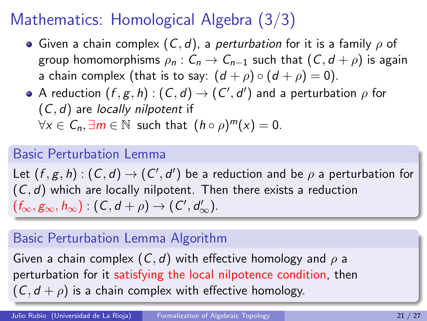## Mathematics: Homological Algebra (3/3)

- Given a chain complex  $(C, d)$ , a perturbation for it is a family  $\rho$  of group homomorphisms  $\rho_n$ :  $C_n \to C_{n-1}$  such that  $(C, d + \rho)$  is again a chain complex (that is to say:  $(d + \rho) \circ (d + \rho) = 0$ ).
- A reduction  $(f,g,h)$  :  $(\mathsf{C},\mathsf{d}) \to (\mathsf{C}',\mathsf{d}')$  and a perturbation  $\rho$  for  $(C, d)$  are locally nilpotent if

 $\forall x \in C_n, \exists m \in \mathbb{N}$  such that  $(h \circ \rho)^m(x) = 0$ .

#### Basic Perturbation Lemma

Let  $(f,g,h):(\mathsf{C},\mathsf{d}) \to (\mathsf{C}',\mathsf{d}')$  be a reduction and be  $\rho$  a perturbation for  $(C, d)$  which are locally nilpotent. Then there exists a reduction  $(f_{\infty}, g_{\infty}, h_{\infty}) : (C, d + \rho) \rightarrow (C', d'_{\infty}).$ 

#### Basic Perturbation Lemma Algorithm

Given a chain complex  $(C, d)$  with effective homology and  $\rho$  a perturbation for it satisfying the local nilpotence condition, then  $(C, d + \rho)$  is a chain complex with effective homology.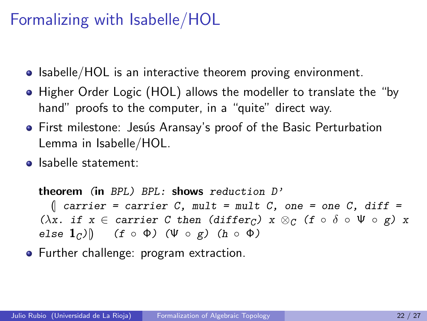### Formalizing with Isabelle/HOL

- Isabelle/HOL is an interactive theorem proving environment.
- Higher Order Logic (HOL) allows the modeller to translate the "by hand" proofs to the computer, in a "quite" direct way.
- First milestone: Jesús Aransay's proof of the Basic Perturbation Lemma in Isabelle/HOL.
- Isabelle statement:

theorem (in BPL) BPL: shows reduction D'  $\parallel$  carrier = carrier C, mult = mult C, one = one C, diff = ( $\lambda x$ . if  $x \in$  carrier C then (differ<sub>C</sub>)  $x \otimes_C (f \circ \delta \circ \Psi \circ g)$  x else  $1_C)$  (f ⊙  $\Phi$ ) ( $\Psi$  ⊙  $g$ ) (h ⊙  $\Phi$ )

**•** Further challenge: program extraction.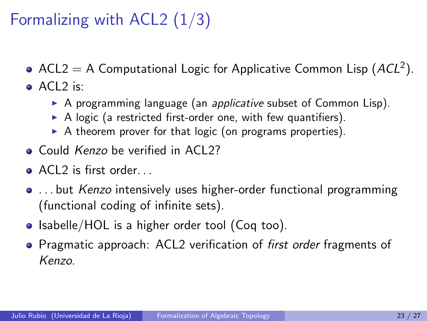## Formalizing with ACL2 (1/3)

- $\mathsf{ACL2}=\mathsf{A}$  Computational Logic for Applicative Common Lisp  $(\mathsf{ACL^2}).$
- ACL2 is:
	- $\triangleright$  A programming language (an *applicative* subset of Common Lisp).
	- $\triangleright$  A logic (a restricted first-order one, with few quantifiers).
	- $\triangleright$  A theorem prover for that logic (on programs properties).
- Could Kenzo be verified in ACL2?
- $\bullet$  ACL2 is first order.
- ... but Kenzo intensively uses higher-order functional programming (functional coding of infinite sets).
- Isabelle/HOL is a higher order tool (Coq too).
- Pragmatic approach: ACL2 verification of *first order* fragments of Kenzo.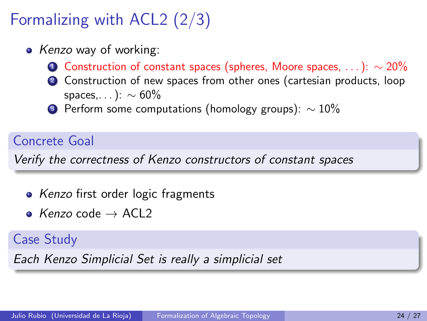## Formalizing with ACL2 (2/3)

- Kenzo way of working:
	- **1** Construction of constant spaces (spheres, Moore spaces, ...):  $\sim$  20%
	- 2 Construction of new spaces from other ones (cartesian products, loop spaces,...):  $\sim 60\%$
	- **3** Perform some computations (homology groups):  $\sim 10\%$

#### Concrete Goal

Verify the correctness of Kenzo constructors of constant spaces

- Kenzo first order logic fragments
- Kenzo code  $\rightarrow$  ACL2

#### Case Study

Each Kenzo Simplicial Set is really a simplicial set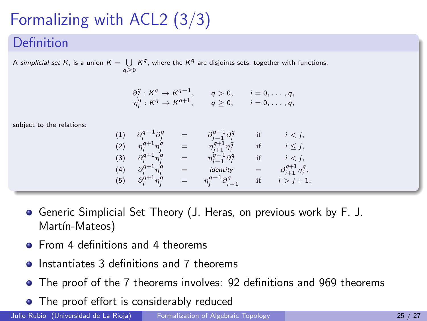# Formalizing with ACL2 (3/3)

#### Definition

A simplicial set K, is a union  $K = \bigcup K^q$ , where the  $K^q$  are disjoints sets, together with functions:  $q>0$ 

| $\partial_i^q: K^q \to K^{q-1},$ | q>0,       | $i=0,\ldots,q,$ |
|----------------------------------|------------|-----------------|
| $\eta_i^q: K^q \to K^{q+1},$     | $q\geq 0,$ | $i=0,\ldots,q,$ |

subject to the relations:

$$
\begin{array}{ccccccccc} (1) & \partial_{i}^{q-1} \partial_{j}^{q} & = & \partial_{j-1}^{q-1} \partial_{i}^{q} & \mbox{if} & i < j, \\ (2) & \eta_{i}^{q+1} \eta_{j}^{q} & = & \eta_{j+1}^{q+1} \eta_{j}^{q} & \mbox{if} & i \leq j, \\ (3) & \partial_{i}^{q+1} \eta_{j}^{q} & = & \eta_{j-1}^{q-1} \partial_{i}^{q} & \mbox{if} & i < j, \\ (4) & \partial_{i}^{q+1} \eta_{i}^{q} & = & \mbox{identity} & = & \partial_{i+1}^{q+1} \eta_{i}^{q}, \\ (5) & \partial_{i}^{q+1} \eta_{j}^{q} & = & \eta_{j}^{q-1} \partial_{i-1}^{q} & \mbox{if} & i > j+1, \end{array}
$$

- Generic Simplicial Set Theory (J. Heras, on previous work by F. J. Martín-Mateos)
- **•** From 4 definitions and 4 theorems
- **O** Instantiates 3 definitions and 7 theorems
- The proof of the 7 theorems involves: 92 definitions and 969 theorems
- The proof effort is considerably reduced

Julio Rubio (Universidad de La Rioja) [Formalization of Algebraic Topology](#page-0-0) 25 / 27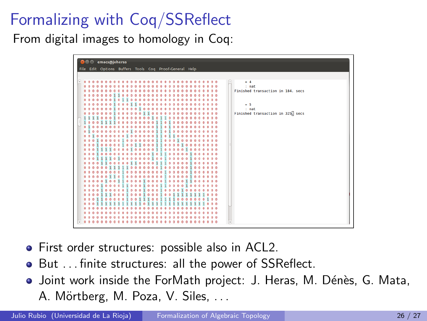## Formalizing with Coq/SSReflect

From digital images to homology in Coq:



- First order structures: possible also in ACL2.
- But . . . finite structures: all the power of SSReflect.
- $\bullet$  Joint work inside the ForMath project: J. Heras, M. Dénès, G. Mata, A. Mörtberg, M. Poza, V. Siles, ...